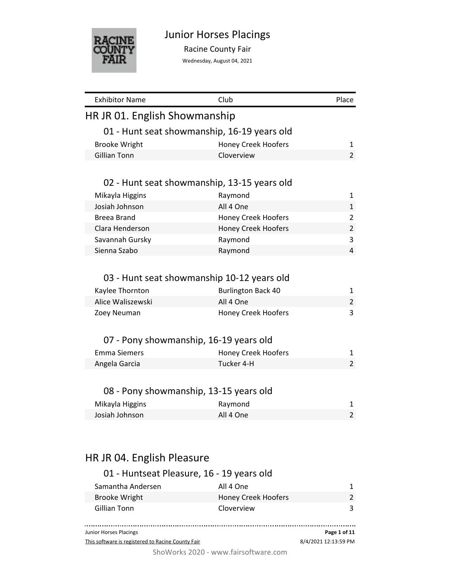

# Junior Horses Placings

Racine County Fair

Wednesday, August 04, 2021

| <b>Exhibitor Name</b>                             | Club                       | Place                |
|---------------------------------------------------|----------------------------|----------------------|
| HR JR 01. English Showmanship                     |                            |                      |
| 01 - Hunt seat showmanship, 16-19 years old       |                            |                      |
| <b>Brooke Wright</b>                              | <b>Honey Creek Hoofers</b> | 1                    |
| <b>Gillian Tonn</b>                               | Cloverview                 | $\overline{2}$       |
|                                                   |                            |                      |
| 02 - Hunt seat showmanship, 13-15 years old       |                            |                      |
| Mikayla Higgins                                   | Raymond                    | 1                    |
| Josiah Johnson                                    | All 4 One                  | 1                    |
| Breea Brand                                       | Honey Creek Hoofers        | 2                    |
| Clara Henderson                                   | <b>Honey Creek Hoofers</b> | $\overline{2}$       |
| Savannah Gursky                                   | Raymond                    | 3                    |
| Sienna Szabo                                      | Raymond                    | $\overline{4}$       |
|                                                   |                            |                      |
| 03 - Hunt seat showmanship 10-12 years old        |                            |                      |
| Kaylee Thornton                                   | <b>Burlington Back 40</b>  | 1                    |
| Alice Waliszewski                                 | All 4 One                  | 2                    |
| Zoey Neuman                                       | Honey Creek Hoofers        | 3                    |
|                                                   |                            |                      |
|                                                   |                            |                      |
| 07 - Pony showmanship, 16-19 years old            |                            |                      |
| <b>Emma Siemers</b>                               | Honey Creek Hoofers        | 1                    |
| Angela Garcia                                     | Tucker 4-H                 | $\overline{2}$       |
|                                                   |                            |                      |
| 08 - Pony showmanship, 13-15 years old            |                            |                      |
| Mikayla Higgins                                   | Raymond                    | 1                    |
| Josiah Johnson                                    | All 4 One                  | $\overline{2}$       |
|                                                   |                            |                      |
|                                                   |                            |                      |
|                                                   |                            |                      |
| HR JR 04. English Pleasure                        |                            |                      |
| 01 - Huntseat Pleasure, 16 - 19 years old         |                            |                      |
| Samantha Andersen                                 | All 4 One                  | 1                    |
| <b>Brooke Wright</b>                              | <b>Honey Creek Hoofers</b> | 2                    |
| <b>Gillian Tonn</b>                               | Cloverview                 | 3                    |
|                                                   |                            |                      |
| Junior Horses Placings                            |                            | Page 1 of 11         |
| This software is registered to Racine County Fair |                            | 8/4/2021 12:13:59 PM |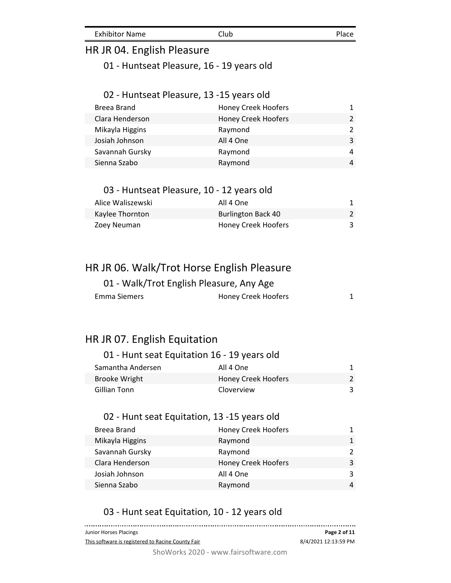| <b>Exhibitor Name</b> | Club | Place |
|-----------------------|------|-------|
|-----------------------|------|-------|

# HR JR 04. English Pleasure

01 - Huntseat Pleasure, 16 - 19 years old

## 02 - Huntseat Pleasure, 13 -15 years old

| Breea Brand     | <b>Honey Creek Hoofers</b> | 1.             |
|-----------------|----------------------------|----------------|
| Clara Henderson | <b>Honey Creek Hoofers</b> | $\mathcal{L}$  |
| Mikayla Higgins | Raymond                    | $\mathcal{L}$  |
| Josiah Johnson  | All 4 One                  | 3              |
| Savannah Gursky | Raymond                    | 4              |
| Sienna Szabo    | Raymond                    | $\overline{4}$ |

### 03 - Huntseat Pleasure, 10 - 12 years old

| Alice Waliszewski | All 4 One                  |   |
|-------------------|----------------------------|---|
| Kaylee Thornton   | <b>Burlington Back 40</b>  |   |
| Zoey Neuman       | <b>Honey Creek Hoofers</b> | 3 |

# HR JR 06. Walk/Trot Horse English Pleasure

| 01 - Walk/Trot English Pleasure, Any Age |                     |  |
|------------------------------------------|---------------------|--|
| Emma Siemers                             | Honey Creek Hoofers |  |

# HR JR 07. English Equitation

| 01 - Hunt seat Equitation 16 - 19 years old |                   |                            |  |
|---------------------------------------------|-------------------|----------------------------|--|
|                                             | Samantha Andersen | All 4 One                  |  |
|                                             | Brooke Wright     | <b>Honey Creek Hoofers</b> |  |
|                                             | Gillian Tonn      | Cloverview                 |  |
|                                             |                   |                            |  |

## 02 - Hunt seat Equitation, 13 -15 years old

| Breea Brand     | <b>Honey Creek Hoofers</b> |               |
|-----------------|----------------------------|---------------|
| Mikayla Higgins | Raymond                    | $\mathbf{1}$  |
| Savannah Gursky | Raymond                    | $\mathcal{P}$ |
| Clara Henderson | <b>Honey Creek Hoofers</b> |               |
| Josiah Johnson  | All 4 One                  | ર             |
| Sienna Szabo    | Raymond                    |               |

### 03 - Hunt seat Equitation, 10 - 12 years old

| Junior Horses Placings                            | Page 2 of 11         |
|---------------------------------------------------|----------------------|
| This software is registered to Racine County Fair | 8/4/2021 12:13:59 PM |
| Shollocks 2020 www.faircoftware.com               |                      |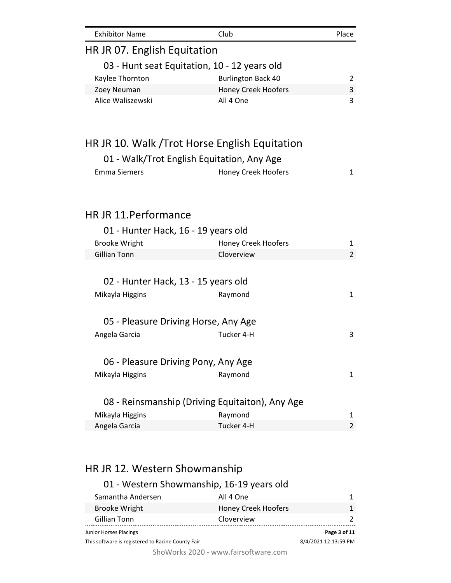| <b>Exhibitor Name</b>                         | Club                                            | Place          |
|-----------------------------------------------|-------------------------------------------------|----------------|
| HR JR 07. English Equitation                  |                                                 |                |
| 03 - Hunt seat Equitation, 10 - 12 years old  |                                                 |                |
| Kaylee Thornton                               | <b>Burlington Back 40</b>                       | 2              |
| Zoey Neuman                                   | <b>Honey Creek Hoofers</b>                      | 3              |
| Alice Waliszewski                             | All 4 One                                       | 3              |
| HR JR 10. Walk /Trot Horse English Equitation |                                                 |                |
| 01 - Walk/Trot English Equitation, Any Age    |                                                 |                |
| <b>Emma Siemers</b>                           | <b>Honey Creek Hoofers</b>                      | 1              |
| HR JR 11. Performance                         |                                                 |                |
| 01 - Hunter Hack, 16 - 19 years old           |                                                 |                |
| <b>Brooke Wright</b>                          | <b>Honey Creek Hoofers</b>                      | 1              |
| <b>Gillian Tonn</b>                           | Cloverview                                      | 2              |
| 02 - Hunter Hack, 13 - 15 years old           |                                                 |                |
| Mikayla Higgins                               | Raymond                                         | 1              |
| 05 - Pleasure Driving Horse, Any Age          |                                                 |                |
| Angela Garcia                                 | Tucker 4-H                                      | 3              |
| 06 - Pleasure Driving Pony, Any Age           |                                                 |                |
| Mikayla Higgins                               | Raymond                                         | 1              |
|                                               | 08 - Reinsmanship (Driving Equitaiton), Any Age |                |
| Mikayla Higgins                               | Raymond                                         | 1              |
| Angela Garcia                                 | Tucker 4-H                                      | $\overline{2}$ |
|                                               |                                                 |                |

# HR JR 12. Western Showmanship

# 01 - Western Showmanship, 16-19 years old

| Samantha Andersen                                 | All 4 One                  |                      |
|---------------------------------------------------|----------------------------|----------------------|
| <b>Brooke Wright</b>                              | <b>Honey Creek Hoofers</b> |                      |
| Gillian Tonn                                      | Cloverview                 |                      |
| Junior Horses Placings                            |                            | Page 3 of 11         |
| This software is registered to Racine County Fair |                            | 8/4/2021 12:13:59 PM |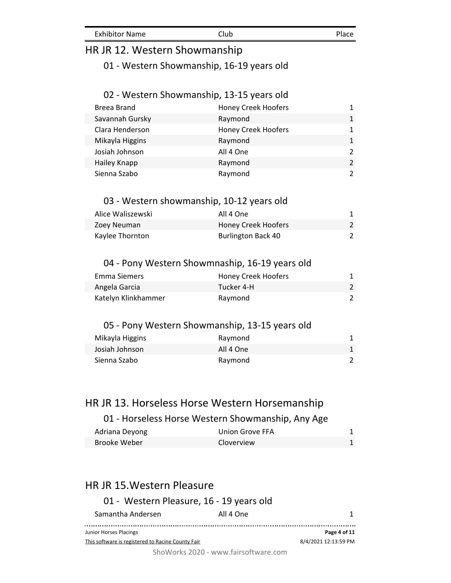| <b>Exhibitor Name</b> | Club | Place |
|-----------------------|------|-------|
|-----------------------|------|-------|

# HR JR 12. Western Showmanship

01 - Western Showmanship, 16-19 years old

### 02 - Western Showmanship, 13-15 years old

| Breea Brand     | <b>Honey Creek Hoofers</b> |               |
|-----------------|----------------------------|---------------|
| Savannah Gursky | Raymond                    |               |
| Clara Henderson | <b>Honey Creek Hoofers</b> |               |
| Mikayla Higgins | Raymond                    |               |
| Josiah Johnson  | All 4 One                  |               |
| Hailey Knapp    | Raymond                    | $\mathcal{P}$ |
| Sienna Szabo    | Raymond                    |               |

### 03 - Western showmanship, 10-12 years old

| Alice Waliszewski | All 4 One                 |  |
|-------------------|---------------------------|--|
| Zoey Neuman       | Honey Creek Hoofers       |  |
| Kaylee Thornton   | <b>Burlington Back 40</b> |  |

### 04 - Pony Western Showmnaship, 16-19 years old

| Emma Siemers        | Honey Creek Hoofers |  |
|---------------------|---------------------|--|
| Angela Garcia       | Tucker 4-H          |  |
| Katelyn Klinkhammer | Raymond             |  |

#### 05 - Pony Western Showmanship, 13-15 years old

| Mikayla Higgins | Raymond   |  |
|-----------------|-----------|--|
| Josiah Johnson  | All 4 One |  |
| Sienna Szabo    | Raymond   |  |

### HR JR 13. Horseless Horse Western Horsemanship

### 01 - Horseless Horse Western Showmanship, Any Age

| Adriana Deyong | Union Grove FFA |  |
|----------------|-----------------|--|
| Brooke Weber   | Cloverview      |  |

# HR JR 15.Western Pleasure

| 01 - Western Pleasure, 16 - 19 years old          |           |                      |
|---------------------------------------------------|-----------|----------------------|
| Samantha Andersen                                 | All 4 One |                      |
| Junior Horses Placings                            |           | Page 4 of 11         |
| This software is registered to Racine County Fair |           | 8/4/2021 12:13:59 PM |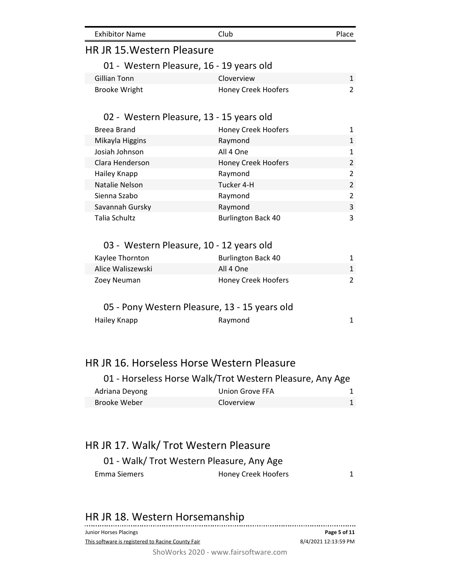| <b>Exhibitor Name</b>                         | Club                                                     | Place             |
|-----------------------------------------------|----------------------------------------------------------|-------------------|
| HR JR 15. Western Pleasure                    |                                                          |                   |
| 01 - Western Pleasure, 16 - 19 years old      |                                                          |                   |
| Gillian Tonn                                  | Cloverview                                               | $\overline{1}$    |
| <b>Brooke Wright</b>                          | <b>Honey Creek Hoofers</b>                               | $\overline{2}$    |
| 02 - Western Pleasure, 13 - 15 years old      |                                                          |                   |
| Breea Brand                                   | <b>Honey Creek Hoofers</b>                               | $\mathbf{1}$      |
| Mikayla Higgins                               | Raymond                                                  | $\mathbf{1}$      |
| Josiah Johnson                                | All 4 One                                                | $\mathbf{1}$      |
| Clara Henderson                               | <b>Honey Creek Hoofers</b>                               | $\overline{a}$    |
| Hailey Knapp                                  | Raymond                                                  | $\overline{a}$    |
| Natalie Nelson                                | Tucker 4-H                                               | $\overline{a}$    |
| Sienna Szabo                                  | Raymond                                                  | $\overline{a}$    |
| Savannah Gursky                               | Raymond                                                  | 3                 |
| <b>Talia Schultz</b>                          | <b>Burlington Back 40</b>                                | 3                 |
| 03 - Western Pleasure, 10 - 12 years old      |                                                          |                   |
| Kaylee Thornton                               | <b>Burlington Back 40</b>                                | 1                 |
| Alice Waliszewski                             | All 4 One                                                | $\mathbf{1}$      |
| Zoey Neuman                                   | <b>Honey Creek Hoofers</b>                               | $\overline{a}$    |
| 05 - Pony Western Pleasure, 13 - 15 years old |                                                          |                   |
| Hailey Knapp                                  | Raymond                                                  | $\mathbf{1}$      |
|                                               |                                                          |                   |
| HR JR 16. Horseless Horse Western Pleasure    |                                                          |                   |
|                                               | 01 - Horseless Horse Walk/Trot Western Pleasure, Any Age |                   |
|                                               |                                                          |                   |
| Adriana Deyong<br><b>Brooke Weber</b>         | Union Grove FFA<br>Cloverview                            | 1<br>$\mathbf{1}$ |
|                                               |                                                          |                   |

# HR JR 17. Walk/ Trot Western Pleasure

|              | 01 - Walk/ Trot Western Pleasure, Any Age |  |
|--------------|-------------------------------------------|--|
| Emma Siemers | Honey Creek Hoofers                       |  |

# HR JR 18. Western Horsemanship

| Junior Horses Placings                            | Page 5 of 11         |
|---------------------------------------------------|----------------------|
| This software is registered to Racine County Fair | 8/4/2021 12:13:59 PM |
| ShoWorks 2020 - www.fairsoftware.com              |                      |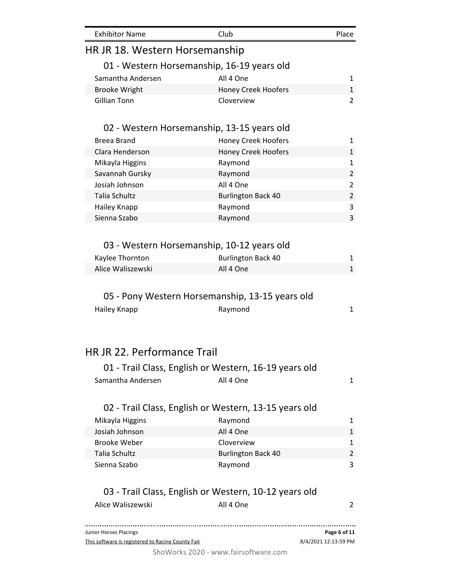|  | <b>Exhibitor Name</b><br>Place<br>Club |
|--|----------------------------------------|
|--|----------------------------------------|

# HR JR 18. Western Horsemanship

### 01 - Western Horsemanship, 16-19 years old

| Samantha Andersen | All 4 One           |  |
|-------------------|---------------------|--|
| Brooke Wright     | Honey Creek Hoofers |  |
| Gillian Tonn      | Cloverview          |  |

## 02 - Western Horsemanship, 13-15 years old

| Breea Brand     | <b>Honey Creek Hoofers</b> |               |
|-----------------|----------------------------|---------------|
| Clara Henderson | <b>Honey Creek Hoofers</b> | $\mathbf{1}$  |
| Mikayla Higgins | Raymond                    | 1             |
| Savannah Gursky | Raymond                    | $\mathcal{L}$ |
| Josiah Johnson  | All 4 One                  | $\mathcal{L}$ |
| Talia Schultz   | <b>Burlington Back 40</b>  | $\mathcal{P}$ |
| Hailey Knapp    | Raymond                    | 3             |
| Sienna Szabo    | Raymond                    | 3             |
|                 |                            |               |

### 03 - Western Horsemanship, 10-12 years old

| Kaylee Thornton   | <b>Burlington Back 40</b> |  |
|-------------------|---------------------------|--|
| Alice Waliszewski | All 4 One                 |  |

# 05 - Pony Western Horsemanship, 13-15 years old

| Hailey Knapp | Raymond |  |
|--------------|---------|--|
|              |         |  |

# HR JR 22. Performance Trail

| 01 - Trail Class, English or Western, 16-19 years old |           |  |
|-------------------------------------------------------|-----------|--|
| Samantha Andersen                                     | All 4 One |  |

### 02 - Trail Class, English or Western, 13-15 years old

| Mikayla Higgins | Raymond                   |  |
|-----------------|---------------------------|--|
| Josiah Johnson  | All 4 One                 |  |
| Brooke Weber    | Cloverview                |  |
| Talia Schultz   | <b>Burlington Back 40</b> |  |
| Sienna Szabo    | Raymond                   |  |

| 03 - Trail Class, English or Western, 10-12 years old |           |                      |
|-------------------------------------------------------|-----------|----------------------|
| Alice Waliszewski                                     | All 4 One |                      |
|                                                       |           |                      |
| Junior Horses Placings                                |           | Page 6 of 11         |
| This software is registered to Racine County Fair     |           | 8/4/2021 12:13:59 PM |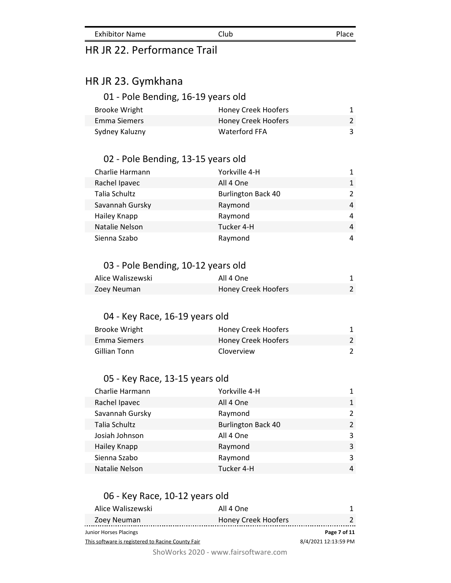Exhibitor Name Club Club Place

# HR JR 22. Performance Trail

# HR JR 23. Gymkhana

### 01 - Pole Bending, 16-19 years old

| <b>Brooke Wright</b> | Honey Creek Hoofers |  |
|----------------------|---------------------|--|
| Emma Siemers         | Honey Creek Hoofers |  |
| Sydney Kaluzny       | Waterford FFA       |  |

### 02 - Pole Bending, 13-15 years old

| Charlie Harmann | Yorkville 4-H             | 1             |
|-----------------|---------------------------|---------------|
| Rachel Ipavec   | All 4 One                 | 1             |
| Talia Schultz   | <b>Burlington Back 40</b> | $\mathcal{P}$ |
| Savannah Gursky | Raymond                   | 4             |
| Hailey Knapp    | Raymond                   | 4             |
| Natalie Nelson  | Tucker 4-H                | 4             |
| Sienna Szabo    | Raymond                   | 4             |

#### 03 - Pole Bending, 10-12 years old

| Alice Waliszewski | All 4 One           |  |
|-------------------|---------------------|--|
| Zoey Neuman       | Honey Creek Hoofers |  |

### 04 - Key Race, 16-19 years old

| Brooke Wright | Honey Creek Hoofers        |  |
|---------------|----------------------------|--|
| Emma Siemers  | <b>Honey Creek Hoofers</b> |  |
| Gillian Tonn  | Cloverview                 |  |

### 05 - Key Race, 13-15 years old

| Charlie Harmann | Yorkville 4-H             | 1.             |
|-----------------|---------------------------|----------------|
| Rachel Ipavec   | All 4 One                 | $\mathbf{1}$   |
| Savannah Gursky | Raymond                   | $\mathcal{L}$  |
| Talia Schultz   | <b>Burlington Back 40</b> | $\mathfrak{D}$ |
| Josiah Johnson  | All 4 One                 | 3              |
| Hailey Knapp    | Raymond                   | $\overline{3}$ |
| Sienna Szabo    | Raymond                   | 3              |
| Natalie Nelson  | Tucker 4-H                | 4              |

### 06 - Key Race, 10-12 years old

| Alice Waliszewski                                 | All 4 One                  |                      |
|---------------------------------------------------|----------------------------|----------------------|
| Zoey Neuman                                       | <b>Honey Creek Hoofers</b> |                      |
| Junior Horses Placings                            |                            | Page 7 of 11         |
| This software is registered to Racine County Fair |                            | 8/4/2021 12:13:59 PM |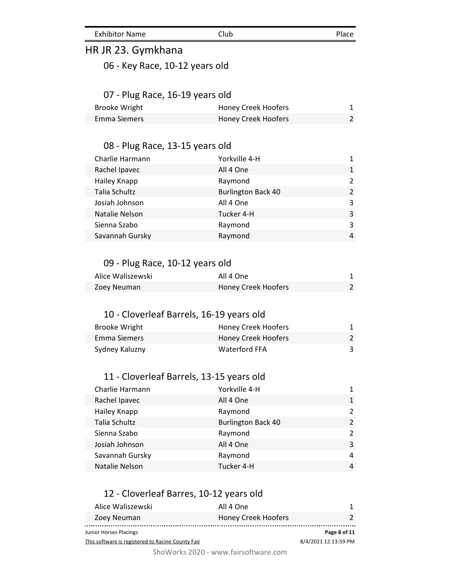Exhibitor Name Club Club Place

# HR JR 23. Gymkhana

06 - Key Race, 10-12 years old

### 07 - Plug Race, 16-19 years old

| <b>Brooke Wright</b> | Honey Creek Hoofers |  |
|----------------------|---------------------|--|
| Emma Siemers         | Honey Creek Hoofers |  |

### 08 - Plug Race, 13-15 years old

| Charlie Harmann | Yorkville 4-H             |               |
|-----------------|---------------------------|---------------|
| Rachel Ipavec   | All 4 One                 | $\mathbf{1}$  |
| Hailey Knapp    | Raymond                   | $\mathcal{L}$ |
| Talia Schultz   | <b>Burlington Back 40</b> | $\mathcal{L}$ |
| Josiah Johnson  | All 4 One                 | 3             |
| Natalie Nelson  | Tucker 4-H                | 3             |
| Sienna Szabo    | Raymond                   | 3             |
| Savannah Gursky | Raymond                   | 4             |

### 09 - Plug Race, 10-12 years old

| Alice Waliszewski | All 4 One                  |  |
|-------------------|----------------------------|--|
| Zoey Neuman       | <b>Honey Creek Hoofers</b> |  |

### 10 - Cloverleaf Barrels, 16-19 years old

| Brooke Wright  | Honey Creek Hoofers |  |
|----------------|---------------------|--|
| Emma Siemers   | Honey Creek Hoofers |  |
| Sydney Kaluzny | Waterford FFA       |  |

### 11 - Cloverleaf Barrels, 13-15 years old

| Charlie Harmann | Yorkville 4-H             |                |
|-----------------|---------------------------|----------------|
| Rachel Ipavec   | All 4 One                 | $\mathbf{1}$   |
| Hailey Knapp    | Raymond                   | $\mathcal{P}$  |
| Talia Schultz   | <b>Burlington Back 40</b> | $\mathfrak{p}$ |
| Sienna Szabo    | Raymond                   |                |
| Josiah Johnson  | All 4 One                 | 3              |
| Savannah Gursky | Raymond                   | 4              |
| Natalie Nelson  | Tucker 4-H                |                |

### 12 - Cloverleaf Barres, 10-12 years old

| Alice Waliszewski                                 | All 4 One                  |                      |
|---------------------------------------------------|----------------------------|----------------------|
| Zoey Neuman                                       | <b>Honey Creek Hoofers</b> |                      |
| Junior Horses Placings                            |                            | Page 8 of 11         |
| This software is registered to Racine County Fair |                            | 8/4/2021 12:13:59 PM |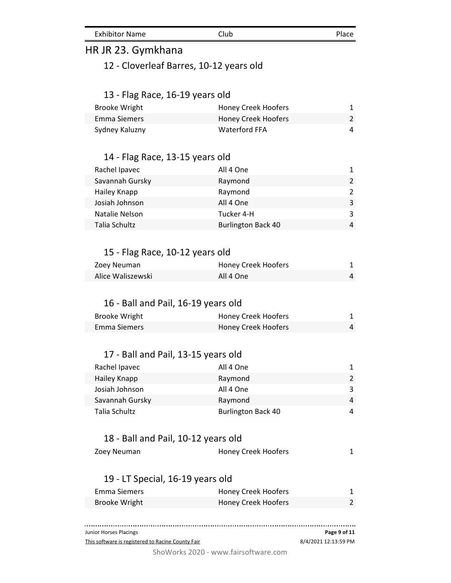Exhibitor Name Club Place

### HR JR 23. Gymkhana

12 - Cloverleaf Barres, 10-12 years old

### 13 - Flag Race, 16-19 years old

| Brooke Wright  | Honey Creek Hoofers |  |
|----------------|---------------------|--|
| Emma Siemers   | Honey Creek Hoofers |  |
| Sydney Kaluzny | Waterford FFA       |  |

### 14 - Flag Race, 13-15 years old

| Rachel Ipavec   | All 4 One                 |               |
|-----------------|---------------------------|---------------|
| Savannah Gursky | Raymond                   | $\mathcal{P}$ |
| Hailey Knapp    | Raymond                   | $\mathcal{P}$ |
| Josiah Johnson  | All 4 One                 | 3             |
| Natalie Nelson  | Tucker 4-H                | 3             |
| Talia Schultz   | <b>Burlington Back 40</b> | 4             |

### 15 - Flag Race, 10-12 years old

| Zoey Neuman       | <b>Honey Creek Hoofers</b> |  |
|-------------------|----------------------------|--|
| Alice Waliszewski | All 4 One                  |  |

### 16 - Ball and Pail, 16-19 years old

| <b>Brooke Wright</b> | Honey Creek Hoofers |  |
|----------------------|---------------------|--|
| Emma Siemers         | Honey Creek Hoofers |  |

#### 17 - Ball and Pail, 13-15 years old

| Rachel Ipavec   | All 4 One                 |    |
|-----------------|---------------------------|----|
| Hailey Knapp    | Raymond                   |    |
| Josiah Johnson  | All 4 One                 |    |
| Savannah Gursky | Raymond                   | 4  |
| Talia Schultz   | <b>Burlington Back 40</b> | Δ. |

### 18 - Ball and Pail, 10-12 years old

| Zoey Neuman | Honey Creek Hoofers |  |
|-------------|---------------------|--|
|             |                     |  |

### 19 - LT Special, 16-19 years old

| Emma Siemers         | Honey Creek Hoofers |  |
|----------------------|---------------------|--|
| <b>Brooke Wright</b> | Honey Creek Hoofers |  |

#### Junior Horses Placings **Page 9 of 11** This software is registered to Racine County Fair 8/4/2021 12:13:59 PM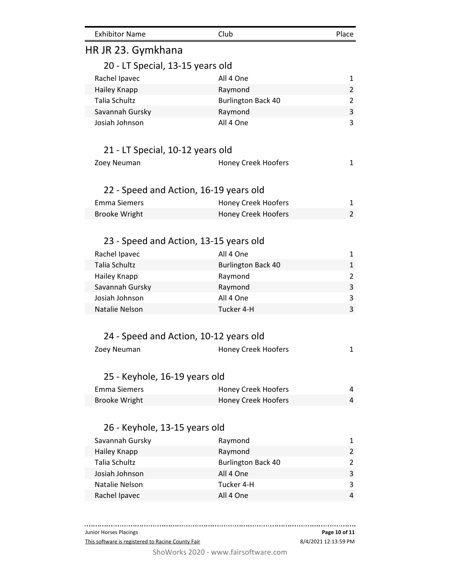| <b>Exhibitor Name</b>            | Club                                   | Place          |
|----------------------------------|----------------------------------------|----------------|
| HR JR 23. Gymkhana               |                                        |                |
| 20 - LT Special, 13-15 years old |                                        |                |
| Rachel Ipavec                    | All 4 One                              | 1              |
| Hailey Knapp                     | Raymond                                | 2              |
| <b>Talia Schultz</b>             | <b>Burlington Back 40</b>              | $\overline{2}$ |
| Savannah Gursky                  | Raymond                                | 3              |
| Josiah Johnson                   | All 4 One                              | 3              |
| 21 - LT Special, 10-12 years old |                                        |                |
| Zoey Neuman                      | <b>Honey Creek Hoofers</b>             | 1              |
|                                  | 22 - Speed and Action, 16-19 years old |                |
| <b>Emma Siemers</b>              | <b>Honey Creek Hoofers</b>             | 1              |
| <b>Brooke Wright</b>             | <b>Honey Creek Hoofers</b>             | 2              |
|                                  |                                        |                |
|                                  | 23 - Speed and Action, 13-15 years old |                |
| Rachel Ipavec                    | All 4 One                              | 1              |
| <b>Talia Schultz</b>             | <b>Burlington Back 40</b>              | 1              |
| Hailey Knapp                     | Raymond                                | $\overline{2}$ |
| Savannah Gursky                  | Raymond                                | 3              |
| Josiah Johnson                   | All 4 One                              | 3              |
| Natalie Nelson                   | Tucker 4-H                             | 3              |
|                                  |                                        |                |
|                                  | 24 - Speed and Action, 10-12 years old |                |
| Zoey Neuman                      | <b>Honey Creek Hoofers</b>             | 1              |
| 25 - Keyhole, 16-19 years old    |                                        |                |
| <b>Emma Siemers</b>              | <b>Honey Creek Hoofers</b>             | 4              |
| <b>Brooke Wright</b>             | <b>Honey Creek Hoofers</b>             | 4              |
| 26 - Keyhole, 13-15 years old    |                                        |                |
| Savannah Gursky                  | Raymond                                | 1              |
| Hailey Knapp                     | Raymond                                | 2              |
| <b>Talia Schultz</b>             | <b>Burlington Back 40</b>              | 2              |
| Josiah Johnson                   | All 4 One                              | 3              |
| Natalie Nelson                   | Tucker 4-H                             | 3              |
| Rachel Ipavec                    | All 4 One                              | 4              |
|                                  |                                        |                |
| <b>Junior Horses Placings</b>    |                                        | Page 10 of 11  |

This software is registered to Racine County Fair

8/4/2021 12:13:59 PM